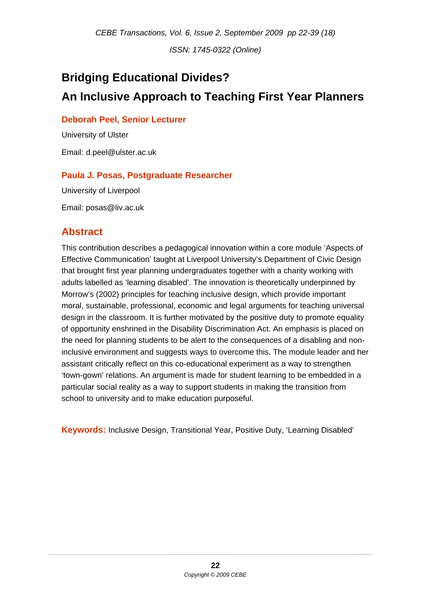*ISSN: 1745-0322 (Online)* 

# **Bridging Educational Divides? An Inclusive Approach to Teaching First Year Planners**

#### **Deborah Peel, Senior Lecturer**

University of Ulster Email: d.peel@ulster.ac.uk

#### **Paula J. Posas, Postgraduate Researcher**

University of Liverpool

Email: posas@liv.ac.uk

## **Abstract**

This contribution describes a pedagogical innovation within a core module 'Aspects of Effective Communication' taught at Liverpool University's Department of Civic Design that brought first year planning undergraduates together with a charity working with adults labelled as 'learning disabled'. The innovation is theoretically underpinned by Morrow's (2002) principles for teaching inclusive design, which provide important moral, sustainable, professional, economic and legal arguments for teaching universal design in the classroom. It is further motivated by the positive duty to promote equality of opportunity enshrined in the Disability Discrimination Act. An emphasis is placed on the need for planning students to be alert to the consequences of a disabling and noninclusive environment and suggests ways to overcome this. The module leader and her assistant critically reflect on this co-educational experiment as a way to strengthen 'town-gown' relations. An argument is made for student learning to be embedded in a particular social reality as a way to support students in making the transition from school to university and to make education purposeful.

**Keywords:** Inclusive Design, Transitional Year, Positive Duty, 'Learning Disabled'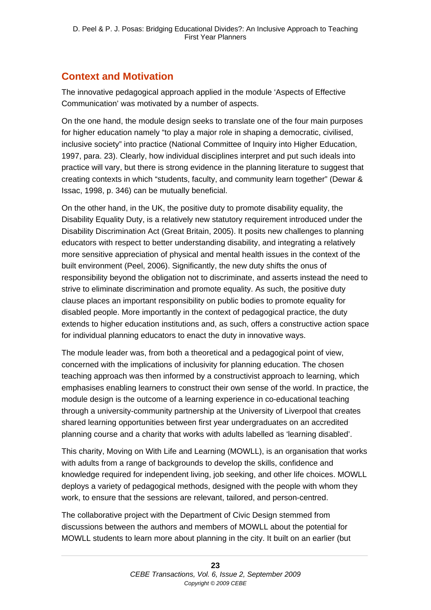# **Context and Motivation**

The innovative pedagogical approach applied in the module 'Aspects of Effective Communication' was motivated by a number of aspects.

On the one hand, the module design seeks to translate one of the four main purposes for higher education namely "to play a major role in shaping a democratic, civilised, inclusive society" into practice (National Committee of Inquiry into Higher Education, 1997, para. 23). Clearly, how individual disciplines interpret and put such ideals into practice will vary, but there is strong evidence in the planning literature to suggest that creating contexts in which "students, faculty, and community learn together" (Dewar & Issac, 1998, p. 346) can be mutually beneficial.

On the other hand, in the UK, the positive duty to promote disability equality, the Disability Equality Duty, is a relatively new statutory requirement introduced under the Disability Discrimination Act (Great Britain, 2005). It posits new challenges to planning educators with respect to better understanding disability, and integrating a relatively more sensitive appreciation of physical and mental health issues in the context of the built environment (Peel, 2006). Significantly, the new duty shifts the onus of responsibility beyond the obligation not to discriminate, and asserts instead the need to strive to eliminate discrimination and promote equality. As such, the positive duty clause places an important responsibility on public bodies to promote equality for disabled people. More importantly in the context of pedagogical practice, the duty extends to higher education institutions and, as such, offers a constructive action space for individual planning educators to enact the duty in innovative ways.

The module leader was, from both a theoretical and a pedagogical point of view, concerned with the implications of inclusivity for planning education. The chosen teaching approach was then informed by a constructivist approach to learning, which emphasises enabling learners to construct their own sense of the world. In practice, the module design is the outcome of a learning experience in co-educational teaching through a university-community partnership at the University of Liverpool that creates shared learning opportunities between first year undergraduates on an accredited planning course and a charity that works with adults labelled as 'learning disabled'.

This charity, Moving on With Life and Learning (MOWLL), is an organisation that works with adults from a range of backgrounds to develop the skills, confidence and knowledge required for independent living, job seeking, and other life choices. MOWLL deploys a variety of pedagogical methods, designed with the people with whom they work, to ensure that the sessions are relevant, tailored, and person-centred.

The collaborative project with the Department of Civic Design stemmed from discussions between the authors and members of MOWLL about the potential for MOWLL students to learn more about planning in the city. It built on an earlier (but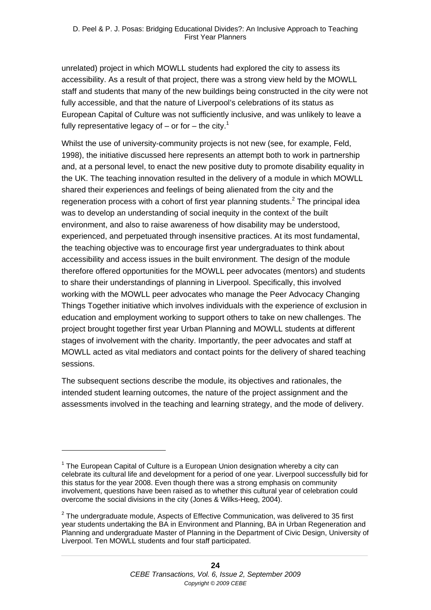unrelated) project in which MOWLL students had explored the city to assess its accessibility. As a result of that project, there was a strong view held by the MOWLL staff and students that many of the new buildings being constructed in the city were not fully accessible, and that the nature of Liverpool's celebrations of its status as European Capital of Culture was not sufficiently inclusive, and was unlikely to leave a fully representative legacy of – or for – the city.<sup>1</sup>

Whilst the use of university-community projects is not new (see, for example, Feld, 1998), the initiative discussed here represents an attempt both to work in partnership and, at a personal level, to enact the new positive duty to promote disability equality in the UK. The teaching innovation resulted in the delivery of a module in which MOWLL shared their experiences and feelings of being alienated from the city and the regeneration process with a cohort of first year planning students. $2$  The principal idea was to develop an understanding of social inequity in the context of the built environment, and also to raise awareness of how disability may be understood, experienced, and perpetuated through insensitive practices. At its most fundamental, the teaching objective was to encourage first year undergraduates to think about accessibility and access issues in the built environment. The design of the module therefore offered opportunities for the MOWLL peer advocates (mentors) and students to share their understandings of planning in Liverpool. Specifically, this involved working with the MOWLL peer advocates who manage the Peer Advocacy Changing Things Together initiative which involves individuals with the experience of exclusion in education and employment working to support others to take on new challenges. The project brought together first year Urban Planning and MOWLL students at different stages of involvement with the charity. Importantly, the peer advocates and staff at MOWLL acted as vital mediators and contact points for the delivery of shared teaching sessions.

The subsequent sections describe the module, its objectives and rationales, the intended student learning outcomes, the nature of the project assignment and the assessments involved in the teaching and learning strategy, and the mode of delivery.

1

 $1$  The European Capital of Culture is a European Union designation whereby a city can celebrate its cultural life and development for a period of one year. Liverpool successfully bid for this status for the year 2008. Even though there was a strong emphasis on community involvement, questions have been raised as to whether this cultural year of celebration could overcome the social divisions in the city (Jones & Wilks-Heeg, 2004).

 $2$  The undergraduate module, Aspects of Effective Communication, was delivered to 35 first year students undertaking the BA in Environment and Planning, BA in Urban Regeneration and Planning and undergraduate Master of Planning in the Department of Civic Design, University of Liverpool. Ten MOWLL students and four staff participated.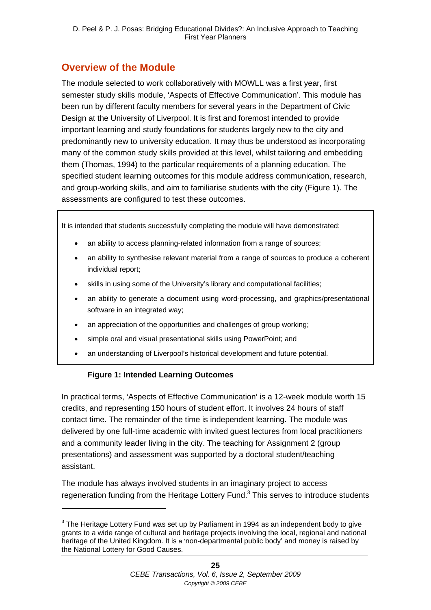# **Overview of the Module**

The module selected to work collaboratively with MOWLL was a first year, first semester study skills module, 'Aspects of Effective Communication'. This module has been run by different faculty members for several years in the Department of Civic Design at the University of Liverpool. It is first and foremost intended to provide important learning and study foundations for students largely new to the city and predominantly new to university education. It may thus be understood as incorporating many of the common study skills provided at this level, whilst tailoring and embedding them (Thomas, 1994) to the particular requirements of a planning education. The specified student learning outcomes for this module address communication, research, and group-working skills, and aim to familiarise students with the city (Figure 1). The assessments are configured to test these outcomes.

It is intended that students successfully completing the module will have demonstrated:

- an ability to access planning-related information from a range of sources;
- an ability to synthesise relevant material from a range of sources to produce a coherent individual report;
- skills in using some of the University's library and computational facilities;
- an ability to generate a document using word-processing, and graphics/presentational software in an integrated way;
- an appreciation of the opportunities and challenges of group working;
- simple oral and visual presentational skills using PowerPoint; and
- an understanding of Liverpool's historical development and future potential.

#### **Figure 1: Intended Learning Outcomes**

-

In practical terms, 'Aspects of Effective Communication' is a 12-week module worth 15 credits, and representing 150 hours of student effort. It involves 24 hours of staff contact time. The remainder of the time is independent learning. The module was delivered by one full-time academic with invited guest lectures from local practitioners and a community leader living in the city. The teaching for Assignment 2 (group presentations) and assessment was supported by a doctoral student/teaching assistant.

The module has always involved students in an imaginary project to access regeneration funding from the Heritage Lottery Fund.<sup>3</sup> This serves to introduce students

 $3$  The Heritage Lottery Fund was set up by Parliament in 1994 as an independent body to give grants to a wide range of cultural and heritage projects involving the local, regional and national heritage of the United Kingdom. It is a 'non-departmental public body' and money is raised by the National Lottery for Good Causes.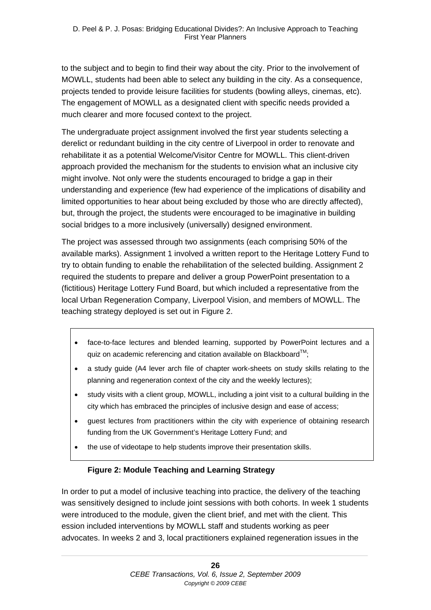to the subject and to begin to find their way about the city. Prior to the involvement of MOWLL, students had been able to select any building in the city. As a consequence, projects tended to provide leisure facilities for students (bowling alleys, cinemas, etc). The engagement of MOWLL as a designated client with specific needs provided a much clearer and more focused context to the project.

The undergraduate project assignment involved the first year students selecting a derelict or redundant building in the city centre of Liverpool in order to renovate and rehabilitate it as a potential Welcome/Visitor Centre for MOWLL. This client-driven approach provided the mechanism for the students to envision what an inclusive city might involve. Not only were the students encouraged to bridge a gap in their understanding and experience (few had experience of the implications of disability and limited opportunities to hear about being excluded by those who are directly affected), but, through the project, the students were encouraged to be imaginative in building social bridges to a more inclusively (universally) designed environment.

The project was assessed through two assignments (each comprising 50% of the available marks). Assignment 1 involved a written report to the Heritage Lottery Fund to try to obtain funding to enable the rehabilitation of the selected building. Assignment 2 required the students to prepare and deliver a group PowerPoint presentation to a (fictitious) Heritage Lottery Fund Board, but which included a representative from the local Urban Regeneration Company, Liverpool Vision, and members of MOWLL. The teaching strategy deployed is set out in Figure 2.

- face-to-face lectures and blended learning, supported by PowerPoint lectures and a quiz on academic referencing and citation available on Blackboard $^{TM}$ ;
- a study guide (A4 lever arch file of chapter work-sheets on study skills relating to the planning and regeneration context of the city and the weekly lectures);
- study visits with a client group, MOWLL, including a joint visit to a cultural building in the city which has embraced the principles of inclusive design and ease of access;
- guest lectures from practitioners within the city with experience of obtaining research funding from the UK Government's Heritage Lottery Fund; and
- the use of videotape to help students improve their presentation skills.

#### **Figure 2: Module Teaching and Learning Strategy**

In order to put a model of inclusive teaching into practice, the delivery of the teaching was sensitively designed to include joint sessions with both cohorts. In week 1 students were introduced to the module, given the client brief, and met with the client. This ession included interventions by MOWLL staff and students working as peer advocates. In weeks 2 and 3, local practitioners explained regeneration issues in the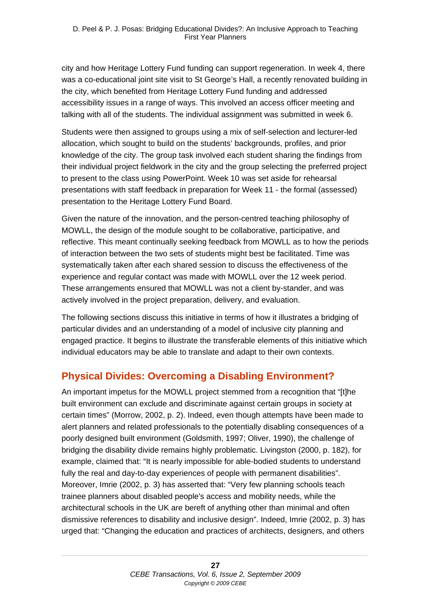city and how Heritage Lottery Fund funding can support regeneration. In week 4, there was a co-educational joint site visit to St George's Hall, a recently renovated building in the city, which benefited from Heritage Lottery Fund funding and addressed accessibility issues in a range of ways. This involved an access officer meeting and talking with all of the students. The individual assignment was submitted in week 6.

Students were then assigned to groups using a mix of self-selection and lecturer-led allocation, which sought to build on the students' backgrounds, profiles, and prior knowledge of the city. The group task involved each student sharing the findings from their individual project fieldwork in the city and the group selecting the preferred project to present to the class using PowerPoint. Week 10 was set aside for rehearsal presentations with staff feedback in preparation for Week 11 - the formal (assessed) presentation to the Heritage Lottery Fund Board.

Given the nature of the innovation, and the person-centred teaching philosophy of MOWLL, the design of the module sought to be collaborative, participative, and reflective. This meant continually seeking feedback from MOWLL as to how the periods of interaction between the two sets of students might best be facilitated. Time was systematically taken after each shared session to discuss the effectiveness of the experience and regular contact was made with MOWLL over the 12 week period. These arrangements ensured that MOWLL was not a client by-stander, and was actively involved in the project preparation, delivery, and evaluation.

The following sections discuss this initiative in terms of how it illustrates a bridging of particular divides and an understanding of a model of inclusive city planning and engaged practice. It begins to illustrate the transferable elements of this initiative which individual educators may be able to translate and adapt to their own contexts.

# **Physical Divides: Overcoming a Disabling Environment?**

An important impetus for the MOWLL project stemmed from a recognition that "[t]he built environment can exclude and discriminate against certain groups in society at certain times" (Morrow, 2002, p. 2). Indeed, even though attempts have been made to alert planners and related professionals to the potentially disabling consequences of a poorly designed built environment (Goldsmith, 1997; Oliver, 1990), the challenge of bridging the disability divide remains highly problematic. Livingston (2000, p. 182), for example, claimed that: "It is nearly impossible for able-bodied students to understand fully the real and day-to-day experiences of people with permanent disabilities". Moreover, Imrie (2002, p. 3) has asserted that: "Very few planning schools teach trainee planners about disabled people's access and mobility needs, while the architectural schools in the UK are bereft of anything other than minimal and often dismissive references to disability and inclusive design". Indeed, Imrie (2002, p. 3) has urged that: "Changing the education and practices of architects, designers, and others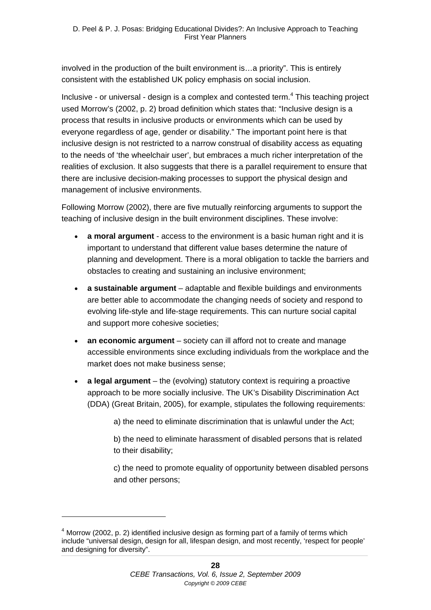involved in the production of the built environment is…a priority". This is entirely consistent with the established UK policy emphasis on social inclusion.

Inclusive - or universal - design is a complex and contested term.<sup>4</sup> This teaching project used Morrow's (2002, p. 2) broad definition which states that: "Inclusive design is a process that results in inclusive products or environments which can be used by everyone regardless of age, gender or disability." The important point here is that inclusive design is not restricted to a narrow construal of disability access as equating to the needs of 'the wheelchair user', but embraces a much richer interpretation of the realities of exclusion. It also suggests that there is a parallel requirement to ensure that there are inclusive decision-making processes to support the physical design and management of inclusive environments.

Following Morrow (2002), there are five mutually reinforcing arguments to support the teaching of inclusive design in the built environment disciplines. These involve:

- **a moral argument** access to the environment is a basic human right and it is important to understand that different value bases determine the nature of planning and development. There is a moral obligation to tackle the barriers and obstacles to creating and sustaining an inclusive environment;
- **a sustainable argument** adaptable and flexible buildings and environments are better able to accommodate the changing needs of society and respond to evolving life-style and life-stage requirements. This can nurture social capital and support more cohesive societies;
- **an economic argument** society can ill afford not to create and manage accessible environments since excluding individuals from the workplace and the market does not make business sense;
- **a legal argument** the (evolving) statutory context is requiring a proactive approach to be more socially inclusive. The UK's Disability Discrimination Act (DDA) (Great Britain, 2005), for example, stipulates the following requirements:

a) the need to eliminate discrimination that is unlawful under the Act;

b) the need to eliminate harassment of disabled persons that is related to their disability;

c) the need to promote equality of opportunity between disabled persons and other persons;

-

 $<sup>4</sup>$  Morrow (2002, p. 2) identified inclusive design as forming part of a family of terms which</sup> include "universal design, design for all, lifespan design, and most recently, 'respect for people' and designing for diversity".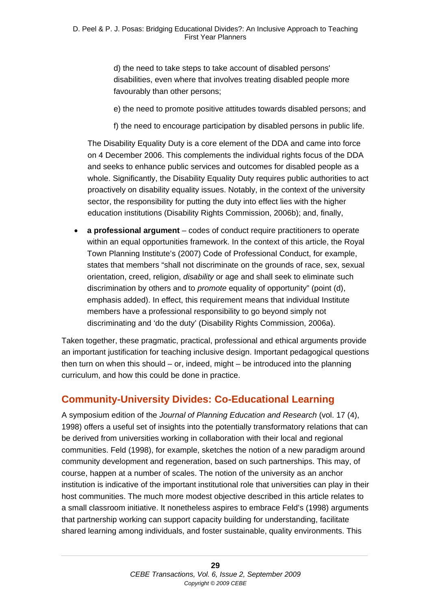d) the need to take steps to take account of disabled persons' disabilities, even where that involves treating disabled people more favourably than other persons;

- e) the need to promote positive attitudes towards disabled persons; and
- f) the need to encourage participation by disabled persons in public life.

The Disability Equality Duty is a core element of the DDA and came into force on 4 December 2006. This complements the individual rights focus of the DDA and seeks to enhance public services and outcomes for disabled people as a whole. Significantly, the Disability Equality Duty requires public authorities to act proactively on disability equality issues. Notably, in the context of the university sector, the responsibility for putting the duty into effect lies with the higher education institutions (Disability Rights Commission, 2006b); and, finally,

 **a professional argument** – codes of conduct require practitioners to operate within an equal opportunities framework. In the context of this article, the Royal Town Planning Institute's (2007) Code of Professional Conduct, for example, states that members "shall not discriminate on the grounds of race, sex, sexual orientation, creed, religion, *disability* or age and shall seek to eliminate such discrimination by others and to *promote* equality of opportunity" (point (d), emphasis added). In effect, this requirement means that individual Institute members have a professional responsibility to go beyond simply not discriminating and 'do the duty' (Disability Rights Commission, 2006a).

Taken together, these pragmatic, practical, professional and ethical arguments provide an important justification for teaching inclusive design. Important pedagogical questions then turn on when this should – or, indeed, might – be introduced into the planning curriculum, and how this could be done in practice.

## **Community-University Divides: Co-Educational Learning**

A symposium edition of the *Journal of Planning Education and Research* (vol. 17 (4), 1998) offers a useful set of insights into the potentially transformatory relations that can be derived from universities working in collaboration with their local and regional communities. Feld (1998), for example, sketches the notion of a new paradigm around community development and regeneration, based on such partnerships. This may, of course, happen at a number of scales. The notion of the university as an anchor institution is indicative of the important institutional role that universities can play in their host communities. The much more modest objective described in this article relates to a small classroom initiative. It nonetheless aspires to embrace Feld's (1998) arguments that partnership working can support capacity building for understanding, facilitate shared learning among individuals, and foster sustainable, quality environments. This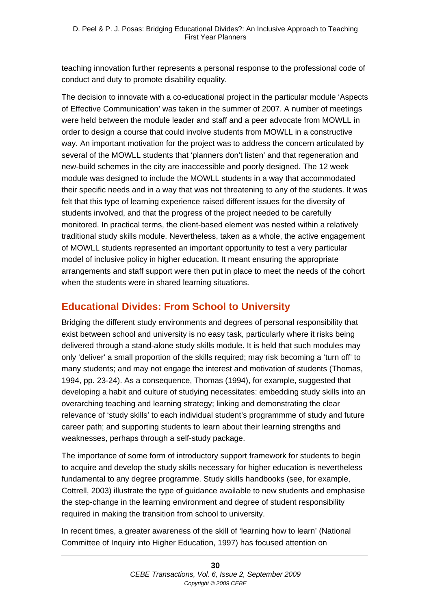teaching innovation further represents a personal response to the professional code of conduct and duty to promote disability equality.

The decision to innovate with a co-educational project in the particular module 'Aspects of Effective Communication' was taken in the summer of 2007. A number of meetings were held between the module leader and staff and a peer advocate from MOWLL in order to design a course that could involve students from MOWLL in a constructive way. An important motivation for the project was to address the concern articulated by several of the MOWLL students that 'planners don't listen' and that regeneration and new-build schemes in the city are inaccessible and poorly designed. The 12 week module was designed to include the MOWLL students in a way that accommodated their specific needs and in a way that was not threatening to any of the students. It was felt that this type of learning experience raised different issues for the diversity of students involved, and that the progress of the project needed to be carefully monitored. In practical terms, the client-based element was nested within a relatively traditional study skills module. Nevertheless, taken as a whole, the active engagement of MOWLL students represented an important opportunity to test a very particular model of inclusive policy in higher education. It meant ensuring the appropriate arrangements and staff support were then put in place to meet the needs of the cohort when the students were in shared learning situations.

## **Educational Divides: From School to University**

Bridging the different study environments and degrees of personal responsibility that exist between school and university is no easy task, particularly where it risks being delivered through a stand-alone study skills module. It is held that such modules may only 'deliver' a small proportion of the skills required; may risk becoming a 'turn off' to many students; and may not engage the interest and motivation of students (Thomas, 1994, pp. 23-24). As a consequence, Thomas (1994), for example, suggested that developing a habit and culture of studying necessitates: embedding study skills into an overarching teaching and learning strategy; linking and demonstrating the clear relevance of 'study skills' to each individual student's programmme of study and future career path; and supporting students to learn about their learning strengths and weaknesses, perhaps through a self-study package.

The importance of some form of introductory support framework for students to begin to acquire and develop the study skills necessary for higher education is nevertheless fundamental to any degree programme. Study skills handbooks (see, for example, Cottrell, 2003) illustrate the type of guidance available to new students and emphasise the step-change in the learning environment and degree of student responsibility required in making the transition from school to university.

In recent times, a greater awareness of the skill of 'learning how to learn' (National Committee of Inquiry into Higher Education, 1997) has focused attention on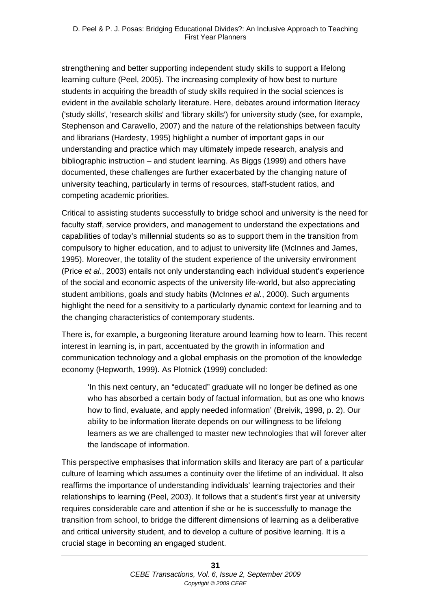strengthening and better supporting independent study skills to support a lifelong learning culture (Peel, 2005). The increasing complexity of how best to nurture students in acquiring the breadth of study skills required in the social sciences is evident in the available scholarly literature. Here, debates around information literacy ('study skills', 'research skills' and 'library skills') for university study (see, for example, Stephenson and Caravello, 2007) and the nature of the relationships between faculty and librarians (Hardesty, 1995) highlight a number of important gaps in our understanding and practice which may ultimately impede research, analysis and bibliographic instruction – and student learning. As Biggs (1999) and others have documented, these challenges are further exacerbated by the changing nature of university teaching, particularly in terms of resources, staff-student ratios, and competing academic priorities.

Critical to assisting students successfully to bridge school and university is the need for faculty staff, service providers, and management to understand the expectations and capabilities of today's millennial students so as to support them in the transition from compulsory to higher education, and to adjust to university life (McInnes and James, 1995). Moreover, the totality of the student experience of the university environment (Price *et al*., 2003) entails not only understanding each individual student's experience of the social and economic aspects of the university life-world, but also appreciating student ambitions, goals and study habits (McInnes *et al.*, 2000). Such arguments highlight the need for a sensitivity to a particularly dynamic context for learning and to the changing characteristics of contemporary students.

There is, for example, a burgeoning literature around learning how to learn. This recent interest in learning is, in part, accentuated by the growth in information and communication technology and a global emphasis on the promotion of the knowledge economy (Hepworth, 1999). As Plotnick (1999) concluded:

'In this next century, an "educated" graduate will no longer be defined as one who has absorbed a certain body of factual information, but as one who knows how to find, evaluate, and apply needed information' (Breivik, 1998, p. 2). Our ability to be information literate depends on our willingness to be lifelong learners as we are challenged to master new technologies that will forever alter the landscape of information.

This perspective emphasises that information skills and literacy are part of a particular culture of learning which assumes a continuity over the lifetime of an individual. It also reaffirms the importance of understanding individuals' learning trajectories and their relationships to learning (Peel, 2003). It follows that a student's first year at university requires considerable care and attention if she or he is successfully to manage the transition from school, to bridge the different dimensions of learning as a deliberative and critical university student, and to develop a culture of positive learning. It is a crucial stage in becoming an engaged student.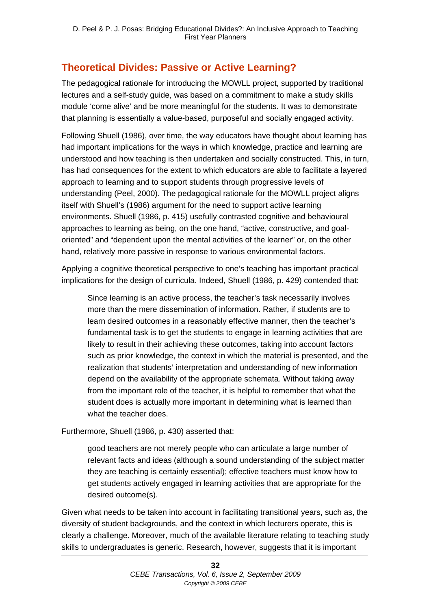# **Theoretical Divides: Passive or Active Learning?**

The pedagogical rationale for introducing the MOWLL project, supported by traditional lectures and a self-study guide, was based on a commitment to make a study skills module 'come alive' and be more meaningful for the students. It was to demonstrate that planning is essentially a value-based, purposeful and socially engaged activity.

Following Shuell (1986), over time, the way educators have thought about learning has had important implications for the ways in which knowledge, practice and learning are understood and how teaching is then undertaken and socially constructed. This, in turn, has had consequences for the extent to which educators are able to facilitate a layered approach to learning and to support students through progressive levels of understanding (Peel, 2000). The pedagogical rationale for the MOWLL project aligns itself with Shuell's (1986) argument for the need to support active learning environments. Shuell (1986, p. 415) usefully contrasted cognitive and behavioural approaches to learning as being, on the one hand, "active, constructive, and goaloriented" and "dependent upon the mental activities of the learner" or, on the other hand, relatively more passive in response to various environmental factors.

Applying a cognitive theoretical perspective to one's teaching has important practical implications for the design of curricula. Indeed, Shuell (1986, p. 429) contended that:

Since learning is an active process, the teacher's task necessarily involves more than the mere dissemination of information. Rather, if students are to learn desired outcomes in a reasonably effective manner, then the teacher's fundamental task is to get the students to engage in learning activities that are likely to result in their achieving these outcomes, taking into account factors such as prior knowledge, the context in which the material is presented, and the realization that students' interpretation and understanding of new information depend on the availability of the appropriate schemata. Without taking away from the important role of the teacher, it is helpful to remember that what the student does is actually more important in determining what is learned than what the teacher does.

Furthermore, Shuell (1986, p. 430) asserted that:

good teachers are not merely people who can articulate a large number of relevant facts and ideas (although a sound understanding of the subject matter they are teaching is certainly essential); effective teachers must know how to get students actively engaged in learning activities that are appropriate for the desired outcome(s).

Given what needs to be taken into account in facilitating transitional years, such as, the diversity of student backgrounds, and the context in which lecturers operate, this is clearly a challenge. Moreover, much of the available literature relating to teaching study skills to undergraduates is generic. Research, however, suggests that it is important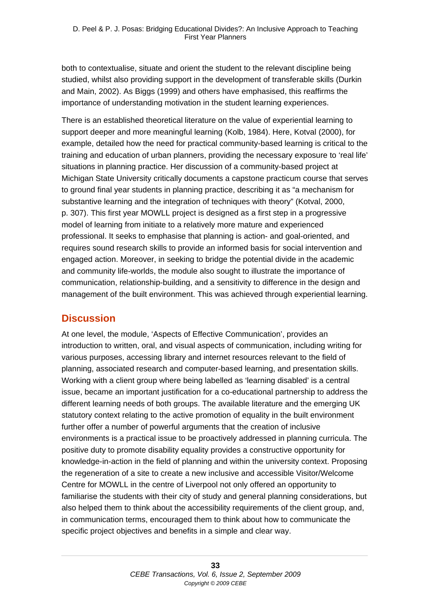both to contextualise, situate and orient the student to the relevant discipline being studied, whilst also providing support in the development of transferable skills (Durkin and Main, 2002). As Biggs (1999) and others have emphasised, this reaffirms the importance of understanding motivation in the student learning experiences.

There is an established theoretical literature on the value of experiential learning to support deeper and more meaningful learning (Kolb, 1984). Here, Kotval (2000), for example, detailed how the need for practical community-based learning is critical to the training and education of urban planners, providing the necessary exposure to 'real life' situations in planning practice. Her discussion of a community-based project at Michigan State University critically documents a capstone practicum course that serves to ground final year students in planning practice, describing it as "a mechanism for substantive learning and the integration of techniques with theory" (Kotval, 2000, p. 307). This first year MOWLL project is designed as a first step in a progressive model of learning from initiate to a relatively more mature and experienced professional. It seeks to emphasise that planning is action- and goal-oriented, and requires sound research skills to provide an informed basis for social intervention and engaged action. Moreover, in seeking to bridge the potential divide in the academic and community life-worlds, the module also sought to illustrate the importance of communication, relationship-building, and a sensitivity to difference in the design and management of the built environment. This was achieved through experiential learning.

## **Discussion**

At one level, the module, 'Aspects of Effective Communication', provides an introduction to written, oral, and visual aspects of communication, including writing for various purposes, accessing library and internet resources relevant to the field of planning, associated research and computer-based learning, and presentation skills. Working with a client group where being labelled as 'learning disabled' is a central issue, became an important justification for a co-educational partnership to address the different learning needs of both groups. The available literature and the emerging UK statutory context relating to the active promotion of equality in the built environment further offer a number of powerful arguments that the creation of inclusive environments is a practical issue to be proactively addressed in planning curricula. The positive duty to promote disability equality provides a constructive opportunity for knowledge-in-action in the field of planning and within the university context. Proposing the regeneration of a site to create a new inclusive and accessible Visitor/Welcome Centre for MOWLL in the centre of Liverpool not only offered an opportunity to familiarise the students with their city of study and general planning considerations, but also helped them to think about the accessibility requirements of the client group, and, in communication terms, encouraged them to think about how to communicate the specific project objectives and benefits in a simple and clear way.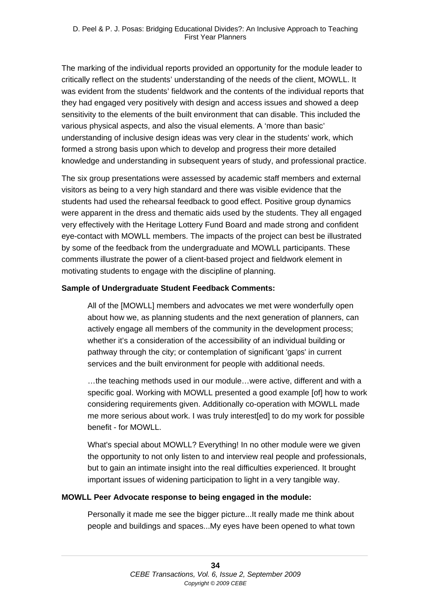The marking of the individual reports provided an opportunity for the module leader to critically reflect on the students' understanding of the needs of the client, MOWLL. It was evident from the students' fieldwork and the contents of the individual reports that they had engaged very positively with design and access issues and showed a deep sensitivity to the elements of the built environment that can disable. This included the various physical aspects, and also the visual elements. A 'more than basic' understanding of inclusive design ideas was very clear in the students' work, which formed a strong basis upon which to develop and progress their more detailed knowledge and understanding in subsequent years of study, and professional practice.

The six group presentations were assessed by academic staff members and external visitors as being to a very high standard and there was visible evidence that the students had used the rehearsal feedback to good effect. Positive group dynamics were apparent in the dress and thematic aids used by the students. They all engaged very effectively with the Heritage Lottery Fund Board and made strong and confident eye-contact with MOWLL members. The impacts of the project can best be illustrated by some of the feedback from the undergraduate and MOWLL participants. These comments illustrate the power of a client-based project and fieldwork element in motivating students to engage with the discipline of planning.

#### **Sample of Undergraduate Student Feedback Comments:**

All of the [MOWLL] members and advocates we met were wonderfully open about how we, as planning students and the next generation of planners, can actively engage all members of the community in the development process; whether it's a consideration of the accessibility of an individual building or pathway through the city; or contemplation of significant 'gaps' in current services and the built environment for people with additional needs.

…the teaching methods used in our module…were active, different and with a specific goal. Working with MOWLL presented a good example [of] how to work considering requirements given. Additionally co-operation with MOWLL made me more serious about work. I was truly interest[ed] to do my work for possible benefit - for MOWLL.

What's special about MOWLL? Everything! In no other module were we given the opportunity to not only listen to and interview real people and professionals, but to gain an intimate insight into the real difficulties experienced. It brought important issues of widening participation to light in a very tangible way.

#### **MOWLL Peer Advocate response to being engaged in the module:**

Personally it made me see the bigger picture...It really made me think about people and buildings and spaces...My eyes have been opened to what town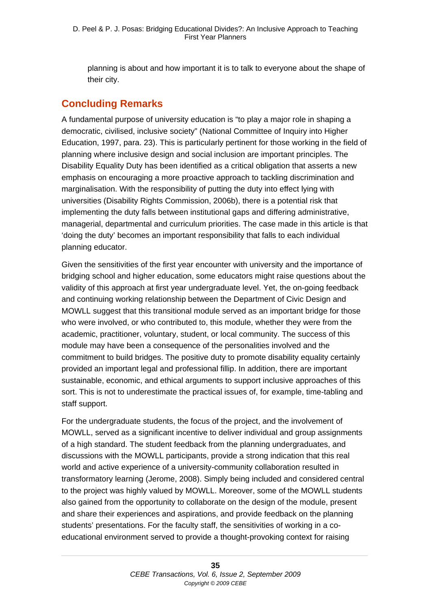planning is about and how important it is to talk to everyone about the shape of their city.

## **Concluding Remarks**

A fundamental purpose of university education is "to play a major role in shaping a democratic, civilised, inclusive society" (National Committee of Inquiry into Higher Education, 1997, para. 23). This is particularly pertinent for those working in the field of planning where inclusive design and social inclusion are important principles. The Disability Equality Duty has been identified as a critical obligation that asserts a new emphasis on encouraging a more proactive approach to tackling discrimination and marginalisation. With the responsibility of putting the duty into effect lying with universities (Disability Rights Commission, 2006b), there is a potential risk that implementing the duty falls between institutional gaps and differing administrative, managerial, departmental and curriculum priorities. The case made in this article is that 'doing the duty' becomes an important responsibility that falls to each individual planning educator.

Given the sensitivities of the first year encounter with university and the importance of bridging school and higher education, some educators might raise questions about the validity of this approach at first year undergraduate level. Yet, the on-going feedback and continuing working relationship between the Department of Civic Design and MOWLL suggest that this transitional module served as an important bridge for those who were involved, or who contributed to, this module, whether they were from the academic, practitioner, voluntary, student, or local community. The success of this module may have been a consequence of the personalities involved and the commitment to build bridges. The positive duty to promote disability equality certainly provided an important legal and professional fillip. In addition, there are important sustainable, economic, and ethical arguments to support inclusive approaches of this sort. This is not to underestimate the practical issues of, for example, time-tabling and staff support.

For the undergraduate students, the focus of the project, and the involvement of MOWLL, served as a significant incentive to deliver individual and group assignments of a high standard. The student feedback from the planning undergraduates, and discussions with the MOWLL participants, provide a strong indication that this real world and active experience of a university-community collaboration resulted in transformatory learning (Jerome, 2008). Simply being included and considered central to the project was highly valued by MOWLL. Moreover, some of the MOWLL students also gained from the opportunity to collaborate on the design of the module, present and share their experiences and aspirations, and provide feedback on the planning students' presentations. For the faculty staff, the sensitivities of working in a coeducational environment served to provide a thought-provoking context for raising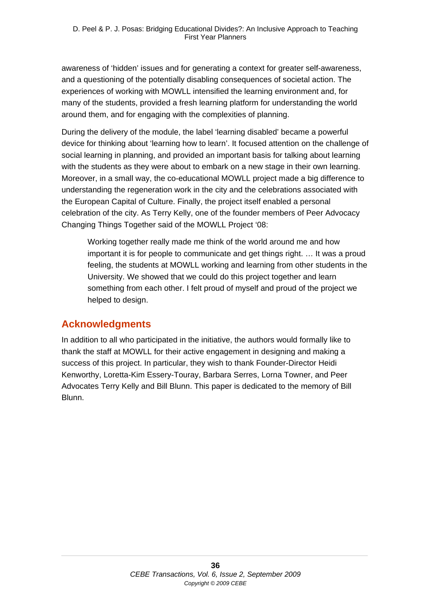awareness of 'hidden' issues and for generating a context for greater self-awareness, and a questioning of the potentially disabling consequences of societal action. The experiences of working with MOWLL intensified the learning environment and, for many of the students, provided a fresh learning platform for understanding the world around them, and for engaging with the complexities of planning.

During the delivery of the module, the label 'learning disabled' became a powerful device for thinking about 'learning how to learn'. It focused attention on the challenge of social learning in planning, and provided an important basis for talking about learning with the students as they were about to embark on a new stage in their own learning. Moreover, in a small way, the co-educational MOWLL project made a big difference to understanding the regeneration work in the city and the celebrations associated with the European Capital of Culture. Finally, the project itself enabled a personal celebration of the city. As Terry Kelly, one of the founder members of Peer Advocacy Changing Things Together said of the MOWLL Project '08:

Working together really made me think of the world around me and how important it is for people to communicate and get things right. … It was a proud feeling, the students at MOWLL working and learning from other students in the University. We showed that we could do this project together and learn something from each other. I felt proud of myself and proud of the project we helped to design.

## **Acknowledgments**

In addition to all who participated in the initiative, the authors would formally like to thank the staff at MOWLL for their active engagement in designing and making a success of this project. In particular, they wish to thank Founder-Director Heidi Kenworthy, Loretta-Kim Essery-Touray, Barbara Serres, Lorna Towner, and Peer Advocates Terry Kelly and Bill Blunn. This paper is dedicated to the memory of Bill Blunn.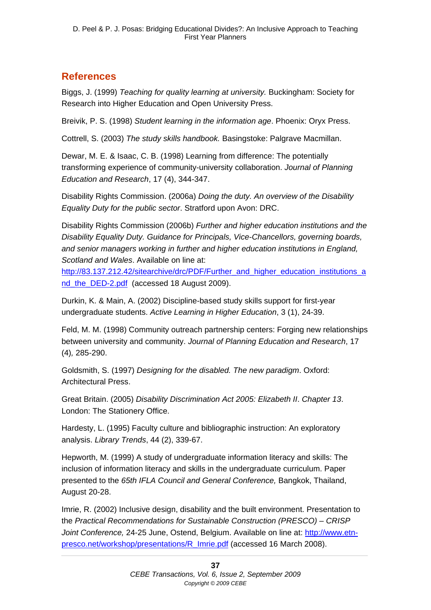# **References**

Biggs, J. (1999) *Teaching for quality learning at university.* Buckingham: Society for Research into Higher Education and Open University Press.

Breivik, P. S. (1998) *Student learning in the information age*. Phoenix: Oryx Press.

Cottrell, S. (2003) *The study skills handbook.* Basingstoke: Palgrave Macmillan.

Dewar, M. E. & Isaac, C. B. (1998) Learning from difference: The potentially transforming experience of community-university collaboration. *Journal of Planning Education and Research*, 17 (4), 344-347.

Disability Rights Commission. (2006a) *Doing the duty. An overview of the Disability Equality Duty for the public sector*. Stratford upon Avon: DRC.

Disability Rights Commission (2006b) *Further and higher education institutions and the Disability Equality Duty. Guidance for Principals, Vice-Chancellors, governing boards, and senior managers working in further and higher education institutions in England, Scotland and Wales*. Available on line at:

http://83.137.212.42/sitearchive/drc/PDF/Further\_and\_higher\_education\_institutions\_a nd\_the\_DED-2.pdf (accessed 18 August 2009).

Durkin, K. & Main, A. (2002) Discipline-based study skills support for first-year undergraduate students. *Active Learning in Higher Education*, 3 (1), 24-39.

Feld, M. M. (1998) Community outreach partnership centers: Forging new relationships between university and community. *Journal of Planning Education and Research*, 17 (4)*,* 285-290.

Goldsmith, S. (1997) *Designing for the disabled. The new paradigm*. Oxford: Architectural Press.

Great Britain. (2005) *Disability Discrimination Act 2005: Elizabeth II*. *Chapter 13*. London: The Stationery Office.

Hardesty, L. (1995) Faculty culture and bibliographic instruction: An exploratory analysis. *Library Trends*, 44 (2), 339-67.

Hepworth, M. (1999) A study of undergraduate information literacy and skills: The inclusion of information literacy and skills in the undergraduate curriculum. Paper presented to the *65th IFLA Council and General Conference,* Bangkok, Thailand, August 20-28.

Imrie, R. (2002) Inclusive design, disability and the built environment. Presentation to the *Practical Recommendations for Sustainable Construction (PRESCO) – CRISP Joint Conference,* 24-25 June, Ostend, Belgium. Available on line at: http://www.etnpresco.net/workshop/presentations/R\_Imrie.pdf (accessed 16 March 2008).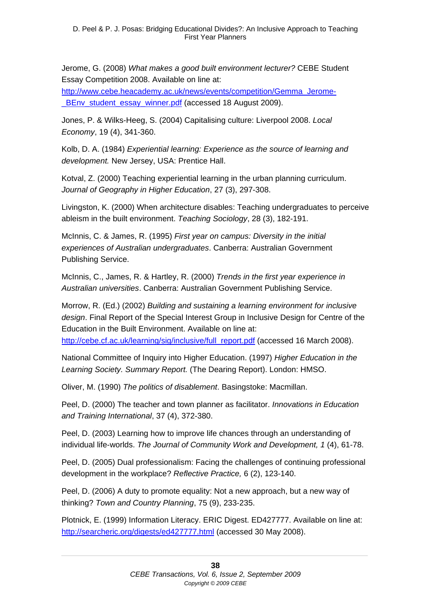Jerome, G. (2008) *What makes a good built environment lecturer?* CEBE Student Essay Competition 2008. Available on line at:

http://www.cebe.heacademy.ac.uk/news/events/competition/Gemma\_Jerome- \_BEnv\_student\_essay\_winner.pdf (accessed 18 August 2009).

Jones, P. & Wilks-Heeg, S. (2004) Capitalising culture: Liverpool 2008. *Local Economy*, 19 (4), 341-360.

Kolb, D. A. (1984) *Experiential learning: Experience as the source of learning and development.* New Jersey, USA: Prentice Hall.

Kotval, Z. (2000) Teaching experiential learning in the urban planning curriculum. *Journal of Geography in Higher Education*, 27 (3), 297-308.

Livingston, K. (2000) When architecture disables: Teaching undergraduates to perceive ableism in the built environment. *Teaching Sociology*, 28 (3), 182-191.

McInnis, C. & James, R. (1995) *First year on campus: Diversity in the initial experiences of Australian undergraduates*. Canberra: Australian Government Publishing Service.

McInnis, C., James, R. & Hartley, R. (2000) *Trends in the first year experience in Australian universities*. Canberra: Australian Government Publishing Service.

Morrow, R. (Ed.) (2002) *Building and sustaining a learning environment for inclusive design*. Final Report of the Special Interest Group in Inclusive Design for Centre of the Education in the Built Environment. Available on line at:

http://cebe.cf.ac.uk/learning/sig/inclusive/full\_report.pdf (accessed 16 March 2008).

National Committee of Inquiry into Higher Education. (1997) *Higher Education in the Learning Society. Summary Report.* (The Dearing Report). London: HMSO.

Oliver, M. (1990) *The politics of disablement*. Basingstoke: Macmillan.

Peel, D. (2000) The teacher and town planner as facilitator. *Innovations in Education and Training International*, 37 (4), 372-380.

Peel, D. (2003) Learning how to improve life chances through an understanding of individual life-worlds. *The Journal of Community Work and Development, 1* (4), 61-78.

Peel, D. (2005) Dual professionalism: Facing the challenges of continuing professional development in the workplace? *Reflective Practice,* 6 (2), 123-140.

Peel, D. (2006) A duty to promote equality: Not a new approach, but a new way of thinking? *Town and Country Planning*, 75 (9), 233-235.

Plotnick, E. (1999) Information Literacy. ERIC Digest. ED427777. Available on line at: http://searcheric.org/digests/ed427777.html (accessed 30 May 2008).